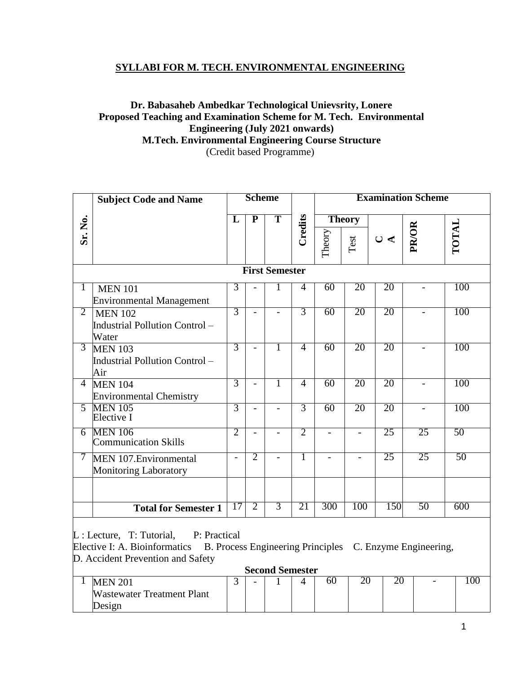### **SYLLABI FOR M. TECH. ENVIRONMENTAL ENGINEERING**

### **Dr. Babasaheb Ambedkar Technological Unievsrity, Lonere Proposed Teaching and Examination Scheme for M. Tech. Environmental Engineering (July 2021 onwards) M.Tech. Environmental Engineering Course Structure** (Credit based Programme)

|                | <b>Subject Code and Name</b>                                                                                                                                                                        | <b>Scheme</b>            |                          |                       |                |        | <b>Examination Scheme</b> |     |                |       |  |  |
|----------------|-----------------------------------------------------------------------------------------------------------------------------------------------------------------------------------------------------|--------------------------|--------------------------|-----------------------|----------------|--------|---------------------------|-----|----------------|-------|--|--|
|                |                                                                                                                                                                                                     | L                        | $\overline{\mathbf{P}}$  | T                     |                |        | <b>Theory</b>             |     |                |       |  |  |
| Sr. No.        |                                                                                                                                                                                                     |                          |                          |                       | Credits        | Theory | Test                      | C < | PR/OR          | TOTAL |  |  |
|                |                                                                                                                                                                                                     |                          |                          | <b>First Semester</b> |                |        |                           |     |                |       |  |  |
| $\mathbf 1$    | <b>MEN 101</b><br><b>Environmental Management</b>                                                                                                                                                   | $\overline{3}$           |                          | $\mathbf{1}$          | $\overline{4}$ | 60     | 20                        | 20  |                | 100   |  |  |
| $\overline{2}$ | <b>MEN 102</b><br><b>Industrial Pollution Control -</b><br>Water                                                                                                                                    | $\overline{3}$           | $\overline{a}$           |                       | 3              | 60     | 20                        | 20  |                | 100   |  |  |
| $\overline{3}$ | <b>MEN 103</b><br><b>Industrial Pollution Control -</b><br>Air                                                                                                                                      | $\overline{3}$           | $\overline{\phantom{0}}$ | 1                     | 4              | 60     | 20                        | 20  | $\overline{a}$ | 100   |  |  |
| $\overline{4}$ | <b>MEN 104</b><br><b>Environmental Chemistry</b>                                                                                                                                                    | $\overline{3}$           | $\overline{a}$           | 1                     | $\overline{4}$ | 60     | 20                        | 20  |                | 100   |  |  |
| $\overline{5}$ | <b>MEN 105</b><br>Elective I                                                                                                                                                                        | $\overline{3}$           | $\overline{\phantom{0}}$ | $\overline{a}$        | 3              | 60     | 20                        | 20  | $\blacksquare$ | 100   |  |  |
| 6              | <b>MEN 106</b><br><b>Communication Skills</b>                                                                                                                                                       | $\overline{2}$           | $\overline{\phantom{0}}$ |                       | $\overline{2}$ |        | $\overline{\phantom{0}}$  | 25  | 25             | 50    |  |  |
| $\tau$         | MEN 107. Environmental<br><b>Monitoring Laboratory</b>                                                                                                                                              | $\overline{\phantom{0}}$ | $\overline{2}$           |                       | 1              |        |                           | 25  | 25             | 50    |  |  |
|                | <b>Total for Semester 1</b>                                                                                                                                                                         | 17                       | $\overline{2}$           | $\overline{3}$        | 21             | 300    | 100                       | 150 | 50             | 600   |  |  |
|                | $L:$ Lecture, T: Tutorial,<br>P: Practical<br>Elective I: A. Bioinformatics B. Process Engineering Principles C. Enzyme Engineering,<br>D. Accident Prevention and Safety<br><b>Cocond Competer</b> |                          |                          |                       |                |        |                           |     |                |       |  |  |

| Second Semester                   |  |   |  |  |    |    |    |                          |   |
|-----------------------------------|--|---|--|--|----|----|----|--------------------------|---|
| MEN                               |  | - |  |  | 6U | ∠⊾ | ∠៶ | $\overline{\phantom{0}}$ | v |
| <b>Wastewater Treatment Plant</b> |  |   |  |  |    |    |    |                          |   |
| Jesign                            |  |   |  |  |    |    |    |                          |   |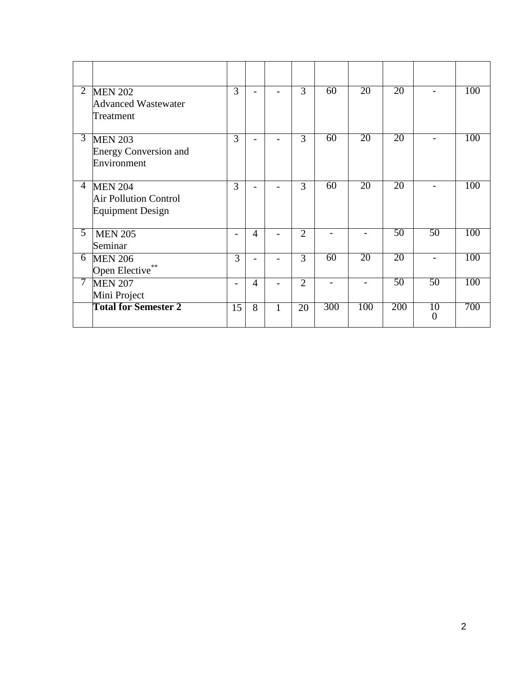| 2              | <b>MEN 202</b><br><b>Advanced Wastewater</b><br>Treatment                 | 3              | $\overline{\phantom{0}}$ |   | 3              | 60                       | 20                       | 20              | $\overline{\phantom{a}}$ | 100 |
|----------------|---------------------------------------------------------------------------|----------------|--------------------------|---|----------------|--------------------------|--------------------------|-----------------|--------------------------|-----|
| 3              | <b>MEN 203</b><br><b>Energy Conversion and</b><br>Environment             | $\overline{3}$ |                          |   | $\overline{3}$ | 60                       | 20                       | 20              |                          | 100 |
| $\overline{4}$ | <b>MEN 204</b><br><b>Air Pollution Control</b><br><b>Equipment Design</b> | 3              |                          |   | 3              | 60                       | 20                       | 20              |                          | 100 |
| 5              | <b>MEN 205</b><br>Seminar                                                 |                | $\overline{4}$           |   | $\overline{2}$ |                          | $\overline{a}$           | 50              | 50                       | 100 |
| 6              | <b>MEN 206</b><br>Open Elective**                                         | 3              |                          |   | 3              | 60                       | 20                       | 20              |                          | 100 |
| 7              | <b>MEN 207</b><br>Mini Project                                            |                | $\overline{4}$           |   | $\overline{2}$ | $\overline{\phantom{0}}$ | $\overline{\phantom{0}}$ | $\overline{50}$ | 50                       | 100 |
|                | <b>Total for Semester 2</b>                                               | 15             | 8                        | 1 | 20             | 300                      | 100                      | 200             | 10<br>0                  | 700 |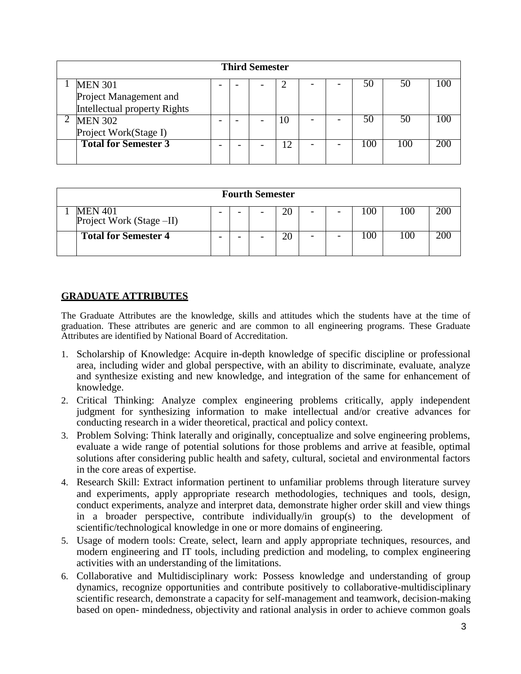| <b>Third Semester</b>        |  |  |  |    |  |  |     |     |     |
|------------------------------|--|--|--|----|--|--|-----|-----|-----|
| <b>MEN 301</b>               |  |  |  |    |  |  | 50  | 50  | OO) |
| Project Management and       |  |  |  |    |  |  |     |     |     |
| Intellectual property Rights |  |  |  |    |  |  |     |     |     |
| <b>MEN 302</b>               |  |  |  | 10 |  |  | 50  | 50  | 00  |
| Project Work(Stage I)        |  |  |  |    |  |  |     |     |     |
| <b>Total for Semester 3</b>  |  |  |  | 12 |  |  | 100 | 100 | 200 |
|                              |  |  |  |    |  |  |     |     |     |

| <b>Fourth Semester</b>                     |  |  |  |    |                          |  |     |     |  |
|--------------------------------------------|--|--|--|----|--------------------------|--|-----|-----|--|
| <b>MEN 401</b><br>Project Work (Stage -II) |  |  |  | 20 | $\overline{\phantom{0}}$ |  | 100 | 100 |  |
| <b>Total for Semester 4</b>                |  |  |  | 20 | $\overline{\phantom{0}}$ |  | 100 | 100 |  |

#### **GRADUATE ATTRIBUTES**

The Graduate Attributes are the knowledge, skills and attitudes which the students have at the time of graduation. These attributes are generic and are common to all engineering programs. These Graduate Attributes are identified by National Board of Accreditation.

- 1. Scholarship of Knowledge: Acquire in-depth knowledge of specific discipline or professional area, including wider and global perspective, with an ability to discriminate, evaluate, analyze and synthesize existing and new knowledge, and integration of the same for enhancement of knowledge.
- 2. Critical Thinking: Analyze complex engineering problems critically, apply independent judgment for synthesizing information to make intellectual and/or creative advances for conducting research in a wider theoretical, practical and policy context.
- 3. Problem Solving: Think laterally and originally, conceptualize and solve engineering problems, evaluate a wide range of potential solutions for those problems and arrive at feasible, optimal solutions after considering public health and safety, cultural, societal and environmental factors in the core areas of expertise.
- 4. Research Skill: Extract information pertinent to unfamiliar problems through literature survey and experiments, apply appropriate research methodologies, techniques and tools, design, conduct experiments, analyze and interpret data, demonstrate higher order skill and view things in a broader perspective, contribute individually/in group(s) to the development of scientific/technological knowledge in one or more domains of engineering.
- 5. Usage of modern tools: Create, select, learn and apply appropriate techniques, resources, and modern engineering and IT tools, including prediction and modeling, to complex engineering activities with an understanding of the limitations.
- 6. Collaborative and Multidisciplinary work: Possess knowledge and understanding of group dynamics, recognize opportunities and contribute positively to collaborative-multidisciplinary scientific research, demonstrate a capacity for self-management and teamwork, decision-making based on open- mindedness, objectivity and rational analysis in order to achieve common goals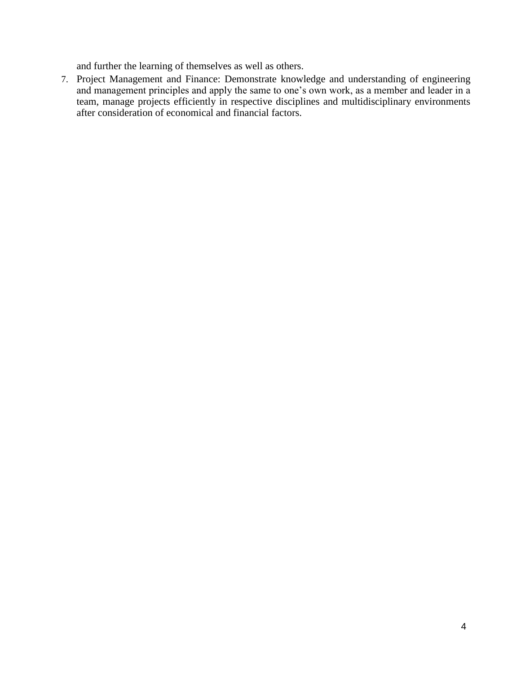and further the learning of themselves as well as others.

7. Project Management and Finance: Demonstrate knowledge and understanding of engineering and management principles and apply the same to one's own work, as a member and leader in a team, manage projects efficiently in respective disciplines and multidisciplinary environments after consideration of economical and financial factors.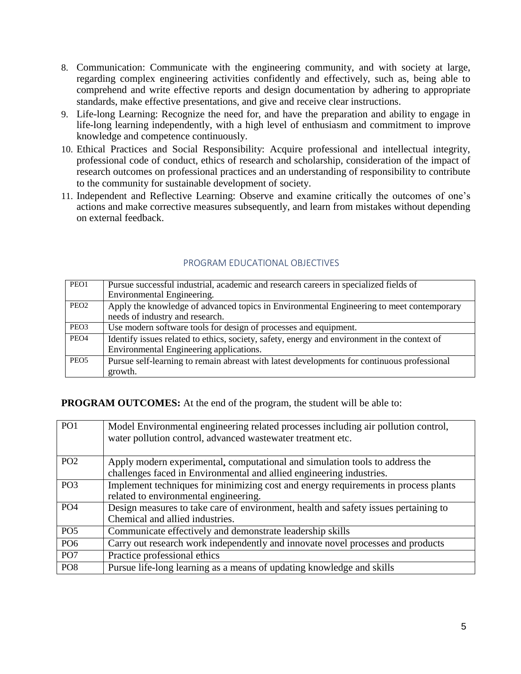- 8. Communication: Communicate with the engineering community, and with society at large, regarding complex engineering activities confidently and effectively, such as, being able to comprehend and write effective reports and design documentation by adhering to appropriate standards, make effective presentations, and give and receive clear instructions.
- 9. Life-long Learning: Recognize the need for, and have the preparation and ability to engage in life-long learning independently, with a high level of enthusiasm and commitment to improve knowledge and competence continuously.
- 10. Ethical Practices and Social Responsibility: Acquire professional and intellectual integrity, professional code of conduct, ethics of research and scholarship, consideration of the impact of research outcomes on professional practices and an understanding of responsibility to contribute to the community for sustainable development of society.
- 11. Independent and Reflective Learning: Observe and examine critically the outcomes of one's actions and make corrective measures subsequently, and learn from mistakes without depending on external feedback.

| PEO1             | Pursue successful industrial, academic and research careers in specialized fields of         |
|------------------|----------------------------------------------------------------------------------------------|
|                  | Environmental Engineering.                                                                   |
| PEO <sub>2</sub> | Apply the knowledge of advanced topics in Environmental Engineering to meet contemporary     |
|                  | needs of industry and research.                                                              |
| PEO <sub>3</sub> | Use modern software tools for design of processes and equipment.                             |
| PEO <sub>4</sub> | Identify issues related to ethics, society, safety, energy and environment in the context of |
|                  | Environmental Engineering applications.                                                      |
| PEO <sub>5</sub> | Pursue self-learning to remain abreast with latest developments for continuous professional  |
|                  | growth.                                                                                      |

#### PROGRAM EDUCATIONAL OBJECTIVES

**PROGRAM OUTCOMES:** At the end of the program, the student will be able to:

| PO <sub>1</sub> | Model Environmental engineering related processes including air pollution control,<br>water pollution control, advanced wastewater treatment etc.    |
|-----------------|------------------------------------------------------------------------------------------------------------------------------------------------------|
| PO <sub>2</sub> | Apply modern experimental, computational and simulation tools to address the<br>challenges faced in Environmental and allied engineering industries. |
| PO <sub>3</sub> | Implement techniques for minimizing cost and energy requirements in process plants<br>related to environmental engineering.                          |
| PO <sub>4</sub> | Design measures to take care of environment, health and safety issues pertaining to<br>Chemical and allied industries.                               |
| PO <sub>5</sub> | Communicate effectively and demonstrate leadership skills                                                                                            |
| PO <sub>6</sub> | Carry out research work independently and innovate novel processes and products                                                                      |
| PO <sub>7</sub> | Practice professional ethics                                                                                                                         |
| PO <sub>8</sub> | Pursue life-long learning as a means of updating knowledge and skills                                                                                |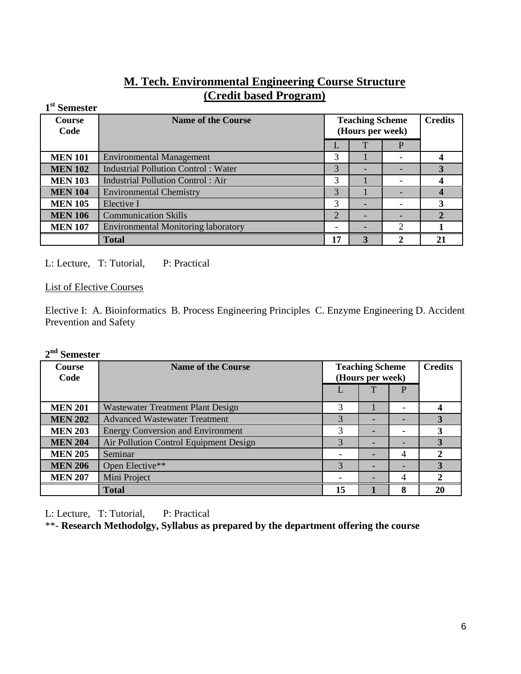# **M. Tech. Environmental Engineering Course Structure (Credit based Program)**

| <b>Semester</b> |                                            |                        |                  |   |    |
|-----------------|--------------------------------------------|------------------------|------------------|---|----|
| <b>Course</b>   |                                            | <b>Teaching Scheme</b> | <b>Credits</b>   |   |    |
| Code            |                                            |                        | (Hours per week) |   |    |
|                 |                                            | L                      | T                | P |    |
| <b>MEN 101</b>  | <b>Environmental Management</b>            | 3                      |                  |   |    |
| <b>MEN 102</b>  | <b>Industrial Pollution Control: Water</b> | 3                      |                  |   |    |
| <b>MEN 103</b>  | <b>Industrial Pollution Control: Air</b>   | 3                      |                  |   |    |
| <b>MEN 104</b>  | <b>Environmental Chemistry</b>             | 3                      |                  |   |    |
| <b>MEN 105</b>  | Elective I                                 | 3                      |                  |   |    |
| <b>MEN 106</b>  | <b>Communication Skills</b>                | 2                      |                  |   |    |
| <b>MEN 107</b>  | <b>Environmental Monitoring laboratory</b> |                        |                  | 2 |    |
|                 | <b>Total</b>                               | 17                     | 3                | າ | 21 |

L: Lecture, T: Tutorial, P: Practical

List of Elective Courses

Elective I: A. Bioinformatics B. Process Engineering Principles C. Enzyme Engineering D. Accident Prevention and Safety

## **2 nd Semester**

| <b>Course</b><br>Code | <b>Name of the Course</b>                | <b>Teaching Scheme</b><br>(Hours per week) | <b>Credits</b>           |    |
|-----------------------|------------------------------------------|--------------------------------------------|--------------------------|----|
|                       |                                          |                                            | P                        |    |
| <b>MEN 201</b>        | <b>Wastewater Treatment Plant Design</b> | 3                                          | $\overline{\phantom{0}}$ |    |
| <b>MEN 202</b>        | <b>Advanced Wastewater Treatment</b>     | 3                                          |                          |    |
| <b>MEN 203</b>        | <b>Energy Conversion and Environment</b> | 3                                          |                          | 3  |
| <b>MEN 204</b>        | Air Pollution Control Equipment Design   | 3                                          |                          |    |
| <b>MEN 205</b>        | Seminar                                  |                                            | $\overline{4}$           |    |
| <b>MEN 206</b>        | Open Elective**                          | 3                                          |                          | 3  |
| <b>MEN 207</b>        | Mini Project                             |                                            | 4                        |    |
|                       | <b>Total</b>                             | 15                                         | 8                        | 20 |

L: Lecture, T: Tutorial, P: Practical

\*\*- **Research Methodolgy, Syllabus as prepared by the department offering the course**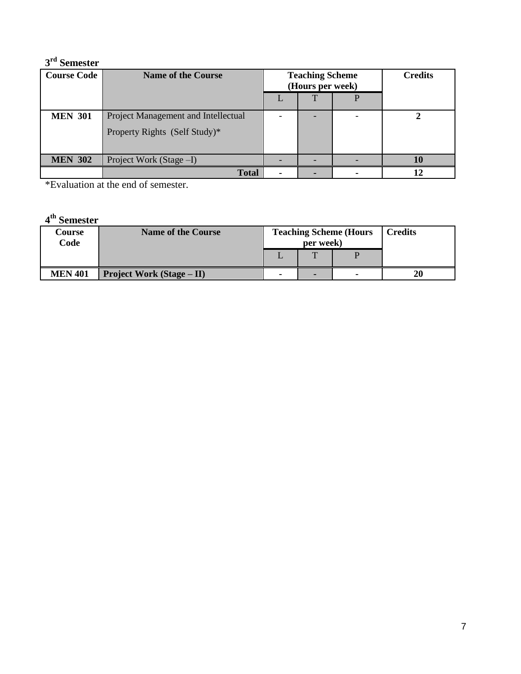## **3 rd Semester**

| <b>Course Code</b> | <b>Name of the Course</b>                                            | <b>Teaching Scheme</b><br>(Hours per week) | <b>Credits</b> |  |  |
|--------------------|----------------------------------------------------------------------|--------------------------------------------|----------------|--|--|
|                    |                                                                      | ፐ                                          |                |  |  |
| <b>MEN 301</b>     | Project Management and Intellectual<br>Property Rights (Self Study)* |                                            |                |  |  |
| <b>MEN 302</b>     | Project Work (Stage -I)                                              |                                            |                |  |  |
|                    | <b>Total</b>                                                         |                                            |                |  |  |

\*Evaluation at the end of semester.

## **4 th Semester**

| Course<br>Code | <b>Name of the Course</b>        | <b>Teaching Scheme (Hours)</b><br>per week) | <b>Credits</b> |    |
|----------------|----------------------------------|---------------------------------------------|----------------|----|
|                |                                  | $\mathbf{r}$                                |                |    |
| <b>MEN 401</b> | <b>Project Work (Stage – II)</b> | -                                           |                | 20 |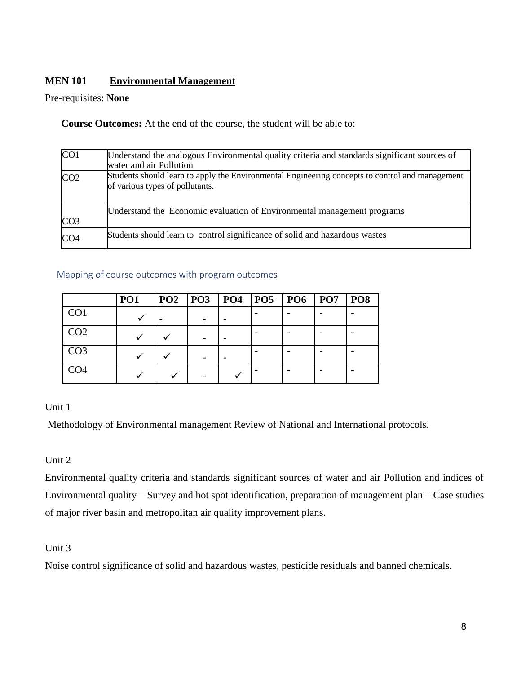## **MEN 101 Environmental Management**

Pre-requisites: **None**

**Course Outcomes:** At the end of the course, the student will be able to:

| $\overline{CO1}$ | Understand the analogous Environmental quality criteria and standards significant sources of<br>water and air Pollution            |
|------------------|------------------------------------------------------------------------------------------------------------------------------------|
| CO <sub>2</sub>  | Students should learn to apply the Environmental Engineering concepts to control and management<br>of various types of pollutants. |
| CO <sub>3</sub>  | Understand the Economic evaluation of Environmental management programs                                                            |
| CO <sub>4</sub>  | Students should learn to control significance of solid and hazardous wastes                                                        |

#### Mapping of course outcomes with program outcomes

|                 | PO <sub>1</sub> | PO2 | P <sub>03</sub> | $PO4$ $PO5$ | <b>PO6</b> | P <sub>07</sub> | PO <sub>8</sub> |
|-----------------|-----------------|-----|-----------------|-------------|------------|-----------------|-----------------|
| CO <sub>1</sub> |                 |     |                 |             |            |                 |                 |
| CO <sub>2</sub> |                 |     |                 |             |            |                 |                 |
| CO <sub>3</sub> |                 |     |                 |             |            |                 |                 |
| CO <sub>4</sub> |                 |     |                 |             |            |                 |                 |

Unit 1

Methodology of Environmental management Review of National and International protocols.

### Unit 2

Environmental quality criteria and standards significant sources of water and air Pollution and indices of Environmental quality – Survey and hot spot identification, preparation of management plan – Case studies of major river basin and metropolitan air quality improvement plans.

## Unit 3

Noise control significance of solid and hazardous wastes, pesticide residuals and banned chemicals.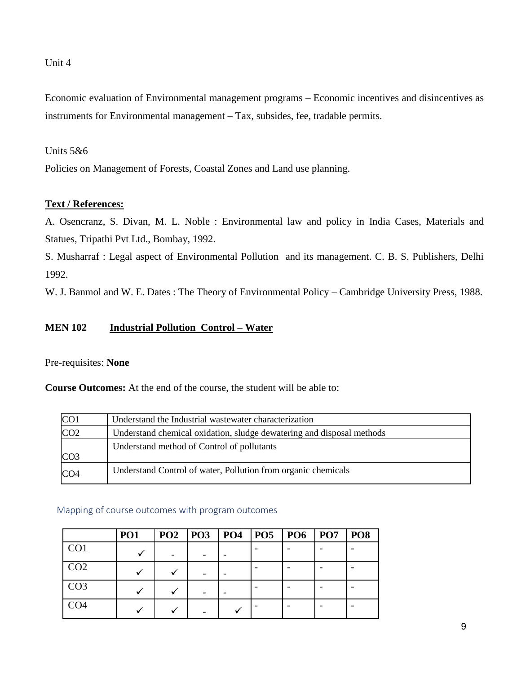Unit 4

Economic evaluation of Environmental management programs – Economic incentives and disincentives as instruments for Environmental management – Tax, subsides, fee, tradable permits.

Units 5&6

Policies on Management of Forests, Coastal Zones and Land use planning.

### **Text / References:**

A. Osencranz, S. Divan, M. L. Noble : Environmental law and policy in India Cases, Materials and Statues, Tripathi Pvt Ltd., Bombay, 1992.

S. Musharraf : Legal aspect of Environmental Pollution and its management. C. B. S. Publishers, Delhi 1992.

W. J. Banmol and W. E. Dates : The Theory of Environmental Policy – Cambridge University Press, 1988.

## **MEN 102 Industrial Pollution Control – Water**

Pre-requisites: **None**

**Course Outcomes:** At the end of the course, the student will be able to:

| CO <sub>1</sub> | Understand the Industrial was tewater characterization                |
|-----------------|-----------------------------------------------------------------------|
| CO <sub>2</sub> | Understand chemical oxidation, sludge dewatering and disposal methods |
|                 | Understand method of Control of pollutants                            |
| CO <sub>3</sub> |                                                                       |
| CO <sub>4</sub> | Understand Control of water, Pollution from organic chemicals         |

#### Mapping of course outcomes with program outcomes

|                 | <b>PO1</b> | PO2 | PO3 | P <sub>O4</sub> | PO5 | PO6   PO7 | PO <sub>8</sub> |
|-----------------|------------|-----|-----|-----------------|-----|-----------|-----------------|
| CO1             |            |     |     |                 |     |           |                 |
| CO <sub>2</sub> |            |     |     |                 |     |           |                 |
| CO <sub>3</sub> |            |     |     |                 |     |           |                 |
| CO <sub>4</sub> |            |     |     |                 |     |           |                 |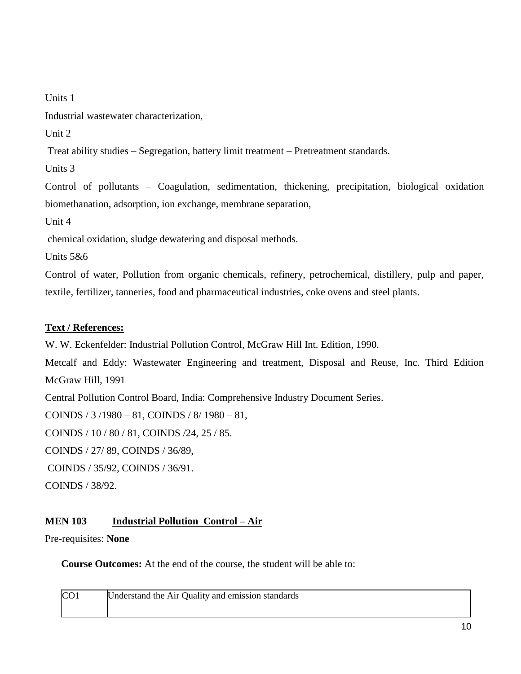Units 1

Industrial wastewater characterization,

 $\overline{U}$ nit  $\overline{2}$ 

Treat ability studies – Segregation, battery limit treatment – Pretreatment standards.

Units 3

Control of pollutants – Coagulation, sedimentation, thickening, precipitation, biological oxidation biomethanation, adsorption, ion exchange, membrane separation,

Unit 4

chemical oxidation, sludge dewatering and disposal methods.

Units 5&6

Control of water, Pollution from organic chemicals, refinery, petrochemical, distillery, pulp and paper, textile, fertilizer, tanneries, food and pharmaceutical industries, coke ovens and steel plants.

## **Text / References:**

W. W. Eckenfelder: Industrial Pollution Control, McGraw Hill Int. Edition, 1990.

Metcalf and Eddy: Wastewater Engineering and treatment, Disposal and Reuse, Inc. Third Edition McGraw Hill, 1991

Central Pollution Control Board, India: Comprehensive Industry Document Series.

COINDS / 3 /1980 – 81, COINDS / 8/ 1980 – 81,

COINDS / 10 / 80 / 81, COINDS /24, 25 / 85.

COINDS / 27/ 89, COINDS / 36/89,

COINDS / 35/92, COINDS / 36/91.

COINDS / 38/92.

## **MEN 103 Industrial Pollution Control – Air**

Pre-requisites: **None**

**Course Outcomes:** At the end of the course, the student will be able to:

| <b>CO</b> | Understand the Air Quality and emission standards |
|-----------|---------------------------------------------------|
|           |                                                   |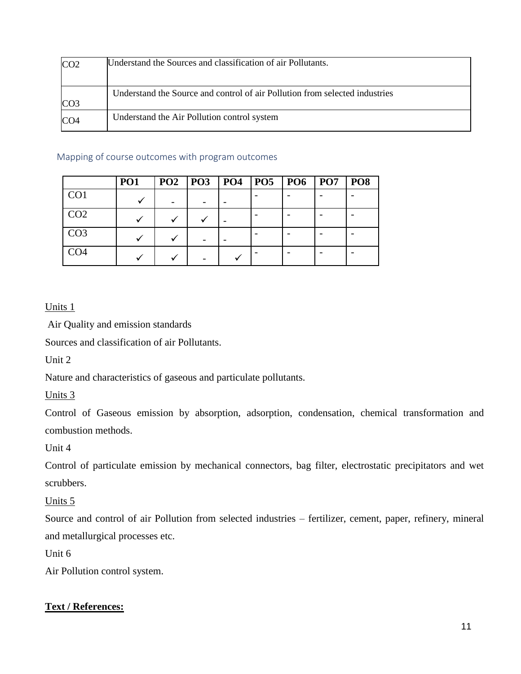| CO <sub>2</sub>  | Understand the Sources and classification of air Pollutants.                |
|------------------|-----------------------------------------------------------------------------|
| ICO <sub>3</sub> | Understand the Source and control of air Pollution from selected industries |
| ICO <sub>4</sub> | Understand the Air Pollution control system                                 |

### Mapping of course outcomes with program outcomes

|                 | <b>PO1</b> | PO <sub>2</sub> | P <sub>03</sub> | P <sub>04</sub> | PO5 | PO <sub>6</sub> | <b>PO7</b> | PO <sub>8</sub> |
|-----------------|------------|-----------------|-----------------|-----------------|-----|-----------------|------------|-----------------|
| CO <sub>1</sub> |            |                 |                 |                 |     |                 |            |                 |
| CO <sub>2</sub> |            |                 |                 |                 |     |                 |            |                 |
| CO <sub>3</sub> |            |                 |                 |                 |     |                 |            |                 |
| CO <sub>4</sub> |            |                 |                 |                 |     |                 |            |                 |

## Units 1

Air Quality and emission standards

Sources and classification of air Pollutants.

Unit 2

Nature and characteristics of gaseous and particulate pollutants.

Units 3

Control of Gaseous emission by absorption, adsorption, condensation, chemical transformation and combustion methods.

Unit 4

Control of particulate emission by mechanical connectors, bag filter, electrostatic precipitators and wet scrubbers.

Units 5

Source and control of air Pollution from selected industries – fertilizer, cement, paper, refinery, mineral and metallurgical processes etc.

Unit 6

Air Pollution control system.

## **Text / References:**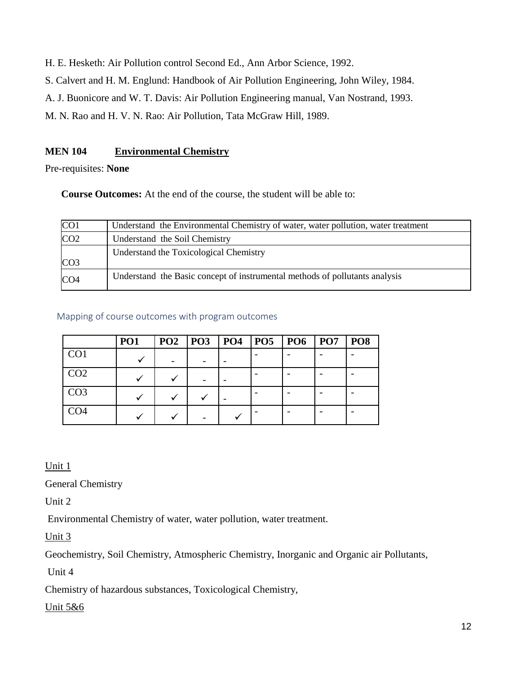- H. E. Hesketh: Air Pollution control Second Ed., Ann Arbor Science, 1992.
- S. Calvert and H. M. Englund: Handbook of Air Pollution Engineering, John Wiley, 1984.
- A. J. Buonicore and W. T. Davis: Air Pollution Engineering manual, Van Nostrand, 1993.
- M. N. Rao and H. V. N. Rao: Air Pollution, Tata McGraw Hill, 1989.

### **MEN 104 Environmental Chemistry**

Pre-requisites: **None**

**Course Outcomes:** At the end of the course, the student will be able to:

| CO <sub>1</sub> | Understand the Environmental Chemistry of water, water pollution, water treatment |
|-----------------|-----------------------------------------------------------------------------------|
| CO <sub>2</sub> | Understand the Soil Chemistry                                                     |
| CO <sub>3</sub> | Understand the Toxicological Chemistry                                            |
| CO <sub>4</sub> | Understand the Basic concept of instrumental methods of pollutants analysis       |

#### Mapping of course outcomes with program outcomes

|                 | <b>PO1</b> | <b>PO2</b> | P <sub>03</sub> | P <sub>O4</sub> | PO5 | PO6 | PO <sub>7</sub> | PO <sub>8</sub> |
|-----------------|------------|------------|-----------------|-----------------|-----|-----|-----------------|-----------------|
| CO <sub>1</sub> | v          |            |                 |                 |     |     |                 |                 |
| CO <sub>2</sub> |            |            |                 |                 |     |     |                 |                 |
| CO <sub>3</sub> |            |            |                 |                 |     |     |                 |                 |
| CO <sub>4</sub> |            |            |                 |                 |     |     |                 |                 |

Unit 1

General Chemistry

Unit 2

Environmental Chemistry of water, water pollution, water treatment.

Unit 3

Geochemistry, Soil Chemistry, Atmospheric Chemistry, Inorganic and Organic air Pollutants,

Unit 4

Chemistry of hazardous substances, Toxicological Chemistry,

Unit 5&6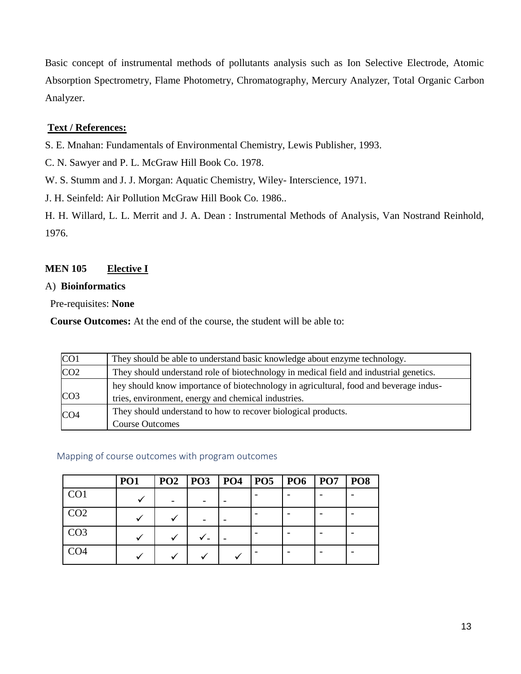Basic concept of instrumental methods of pollutants analysis such as Ion Selective Electrode, Atomic Absorption Spectrometry, Flame Photometry, Chromatography, Mercury Analyzer, Total Organic Carbon Analyzer.

### **Text / References:**

S. E. Mnahan: Fundamentals of Environmental Chemistry, Lewis Publisher, 1993.

C. N. Sawyer and P. L. McGraw Hill Book Co. 1978.

W. S. Stumm and J. J. Morgan: Aquatic Chemistry, Wiley- Interscience, 1971.

J. H. Seinfeld: Air Pollution McGraw Hill Book Co. 1986..

H. H. Willard, L. L. Merrit and J. A. Dean : Instrumental Methods of Analysis, Van Nostrand Reinhold, 1976.

## **MEN 105 Elective I**

### A) **Bioinformatics**

Pre-requisites: **None**

 **Course Outcomes:** At the end of the course, the student will be able to:

| CO <sub>1</sub> | They should be able to understand basic knowledge about enzyme technology.                                                                   |
|-----------------|----------------------------------------------------------------------------------------------------------------------------------------------|
| CO <sub>2</sub> | They should understand role of biotechnology in medical field and industrial genetics.                                                       |
| CO <sub>3</sub> | hey should know importance of biotechnology in agricultural, food and beverage indus-<br>tries, environment, energy and chemical industries. |
| CO <sub>4</sub> | They should understand to how to recover biological products.<br><b>Course Outcomes</b>                                                      |

### Mapping of course outcomes with program outcomes

|                 | <b>PO1</b> | PO <sub>2</sub> | P <sub>03</sub>          | $\overline{\phantom{a}}$ PO4 | <b>PO5</b> | P <sub>06</sub> | $ $ PO7 | PO <sub>8</sub> |
|-----------------|------------|-----------------|--------------------------|------------------------------|------------|-----------------|---------|-----------------|
| CO <sub>1</sub> |            |                 |                          |                              |            |                 |         |                 |
| CO <sub>2</sub> |            |                 |                          |                              |            |                 |         |                 |
| CO <sub>3</sub> |            |                 | $\overline{\phantom{0}}$ |                              |            |                 |         |                 |
| CO <sub>4</sub> |            |                 |                          |                              |            |                 |         |                 |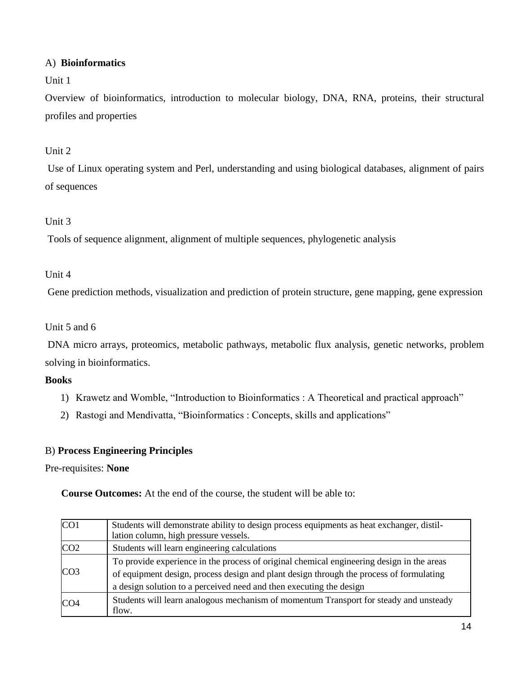## A) **Bioinformatics**

### Unit 1

Overview of bioinformatics, introduction to molecular biology, DNA, RNA, proteins, their structural profiles and properties

### Unit 2

Use of Linux operating system and Perl, understanding and using biological databases, alignment of pairs of sequences

## Unit 3

Tools of sequence alignment, alignment of multiple sequences, phylogenetic analysis

### Unit 4

Gene prediction methods, visualization and prediction of protein structure, gene mapping, gene expression

#### Unit 5 and 6

DNA micro arrays, proteomics, metabolic pathways, metabolic flux analysis, genetic networks, problem solving in bioinformatics.

#### **Books**

- 1) Krawetz and Womble, "Introduction to Bioinformatics : A Theoretical and practical approach"
- 2) Rastogi and Mendivatta, "Bioinformatics : Concepts, skills and applications"

### B) **Process Engineering Principles**

#### Pre-requisites: **None**

**Course Outcomes:** At the end of the course, the student will be able to:

| CO <sub>1</sub> | Students will demonstrate ability to design process equipments as heat exchanger, distil-<br>lation column, high pressure vessels.                                                                                                                          |
|-----------------|-------------------------------------------------------------------------------------------------------------------------------------------------------------------------------------------------------------------------------------------------------------|
| CO2             | Students will learn engineering calculations                                                                                                                                                                                                                |
| CO <sub>3</sub> | To provide experience in the process of original chemical engineering design in the areas<br>of equipment design, process design and plant design through the process of formulating<br>a design solution to a perceived need and then executing the design |
| CO4             | Students will learn analogous mechanism of momentum Transport for steady and unsteady<br>flow.                                                                                                                                                              |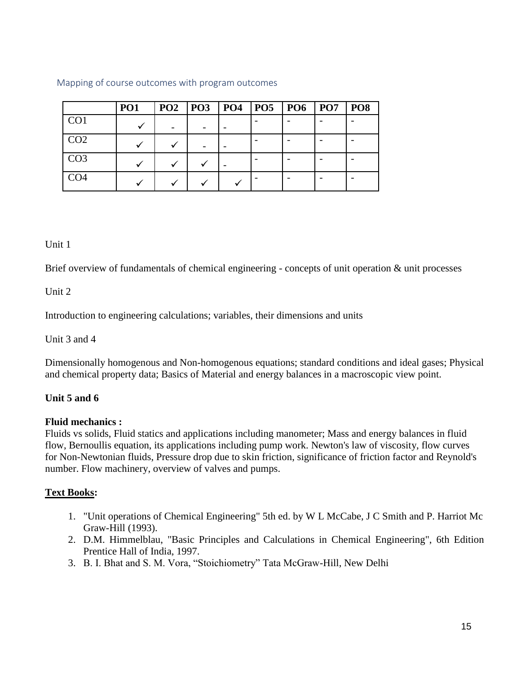|                 | <b>PO1</b> | <b>PO2</b> |  | PO3 PO4 PO5 PO6 | <b>PO7</b> | PO <sub>8</sub> |
|-----------------|------------|------------|--|-----------------|------------|-----------------|
| CO <sub>1</sub> |            |            |  |                 |            |                 |
| CO <sub>2</sub> |            |            |  |                 |            |                 |
| CO <sub>3</sub> |            |            |  |                 |            |                 |
| CO <sub>4</sub> |            |            |  |                 |            |                 |

#### Mapping of course outcomes with program outcomes

#### Unit 1

Brief overview of fundamentals of chemical engineering - concepts of unit operation & unit processes

#### Unit 2

Introduction to engineering calculations; variables, their dimensions and units

Unit 3 and 4

Dimensionally homogenous and Non-homogenous equations; standard conditions and ideal gases; Physical and chemical property data; Basics of Material and energy balances in a macroscopic view point.

### **Unit 5 and 6**

#### **Fluid mechanics :**

Fluids vs solids, Fluid statics and applications including manometer; Mass and energy balances in fluid flow, Bernoullis equation, its applications including pump work. Newton's law of viscosity, flow curves for Non-Newtonian fluids, Pressure drop due to skin friction, significance of friction factor and Reynold's number. Flow machinery, overview of valves and pumps.

#### **Text Books:**

- 1. "Unit operations of Chemical Engineering" 5th ed. by W L McCabe, J C Smith and P. Harriot Mc Graw-Hill (1993).
- 2. D.M. Himmelblau, "Basic Principles and Calculations in Chemical Engineering", 6th Edition Prentice Hall of India, 1997.
- 3. B. I. Bhat and S. M. Vora, "Stoichiometry" Tata McGraw-Hill, New Delhi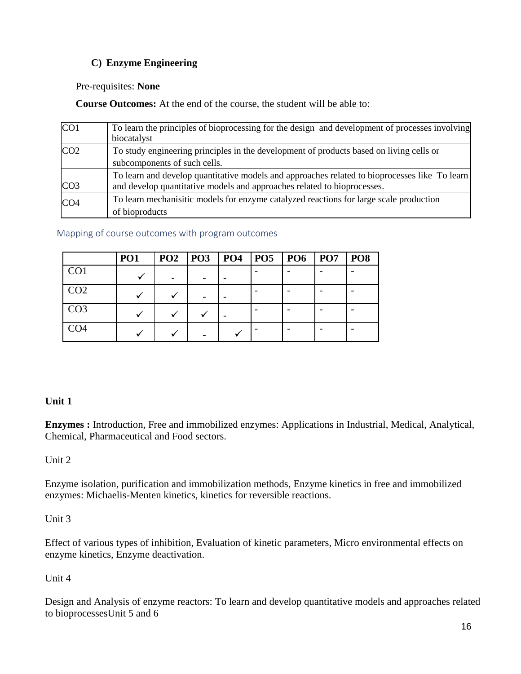# **C) Enzyme Engineering**

Pre-requisites: **None**

**Course Outcomes:** At the end of the course, the student will be able to:

| CO <sub>1</sub> | To learn the principles of bioprocessing for the design and development of processes involving<br>biocatalyst                                                            |
|-----------------|--------------------------------------------------------------------------------------------------------------------------------------------------------------------------|
| CO <sub>2</sub> | To study engineering principles in the development of products based on living cells or<br>subcomponents of such cells.                                                  |
| CO <sub>3</sub> | To learn and develop quantitative models and approaches related to bioprocesses like To learn<br>and develop quantitative models and approaches related to bioprocesses. |
| CO <sub>4</sub> | To learn mechanistic models for enzyme catalyzed reactions for large scale production<br>of bioproducts                                                                  |

### Mapping of course outcomes with program outcomes

|                 | <b>PO1</b> | <b>PO2</b> | $PO3$ $PO4$ | PO5 | PO6 | PO <sub>7</sub> | PO <sub>8</sub> |
|-----------------|------------|------------|-------------|-----|-----|-----------------|-----------------|
| CO <sub>1</sub> |            |            |             |     |     |                 |                 |
| CO <sub>2</sub> |            |            |             |     |     |                 |                 |
| CO <sub>3</sub> |            |            |             |     |     |                 |                 |
| CO <sub>4</sub> |            |            |             |     |     |                 |                 |

## **Unit 1**

**Enzymes :** Introduction, Free and immobilized enzymes: Applications in Industrial, Medical, Analytical, Chemical, Pharmaceutical and Food sectors.

# Unit 2

Enzyme isolation, purification and immobilization methods, Enzyme kinetics in free and immobilized enzymes: Michaelis-Menten kinetics, kinetics for reversible reactions.

# Unit 3

Effect of various types of inhibition, Evaluation of kinetic parameters, Micro environmental effects on enzyme kinetics, Enzyme deactivation.

# Unit 4

Design and Analysis of enzyme reactors: To learn and develop quantitative models and approaches related to bioprocessesUnit 5 and 6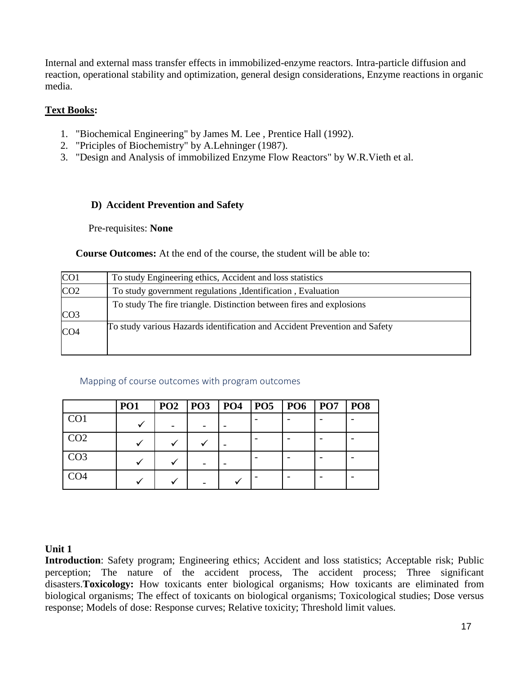Internal and external mass transfer effects in immobilized-enzyme reactors. Intra-particle diffusion and reaction, operational stability and optimization, general design considerations, Enzyme reactions in organic media.

### **Text Books:**

- 1. "Biochemical Engineering" by James M. Lee , Prentice Hall (1992).
- 2. "Priciples of Biochemistry" by A.Lehninger (1987).
- 3. "Design and Analysis of immobilized Enzyme Flow Reactors" by W.R.Vieth et al.

### **D) Accident Prevention and Safety**

Pre-requisites: **None**

**Course Outcomes:** At the end of the course, the student will be able to:

| CO <sub>1</sub> | To study Engineering ethics, Accident and loss statistics                  |
|-----------------|----------------------------------------------------------------------------|
| CO <sub>2</sub> | To study government regulations , Identification, Evaluation               |
| CO <sub>3</sub> | To study The fire triangle. Distinction between fires and explosions       |
| CO <sub>4</sub> | To study various Hazards identification and Accident Prevention and Safety |
|                 |                                                                            |

### Mapping of course outcomes with program outcomes

|                 | PO <sub>1</sub> | <b>PO2</b> | P <sub>03</sub> | P <sub>O4</sub> | <b>PO5</b> | P <sub>06</sub> | P <sub>07</sub> | PO <sub>8</sub> |
|-----------------|-----------------|------------|-----------------|-----------------|------------|-----------------|-----------------|-----------------|
| CO <sub>1</sub> |                 |            | -               |                 |            |                 |                 |                 |
| CO <sub>2</sub> |                 |            |                 |                 |            |                 |                 |                 |
| CO <sub>3</sub> |                 |            |                 |                 |            |                 |                 |                 |
| CO <sub>4</sub> |                 |            |                 |                 |            |                 |                 |                 |

### **Unit 1**

**Introduction**: Safety program; Engineering ethics; Accident and loss statistics; Acceptable risk; Public perception; The nature of the accident process, The accident process; Three significant disasters.**Toxicology:** How toxicants enter biological organisms; How toxicants are eliminated from biological organisms; The effect of toxicants on biological organisms; Toxicological studies; Dose versus response; Models of dose: Response curves; Relative toxicity; Threshold limit values.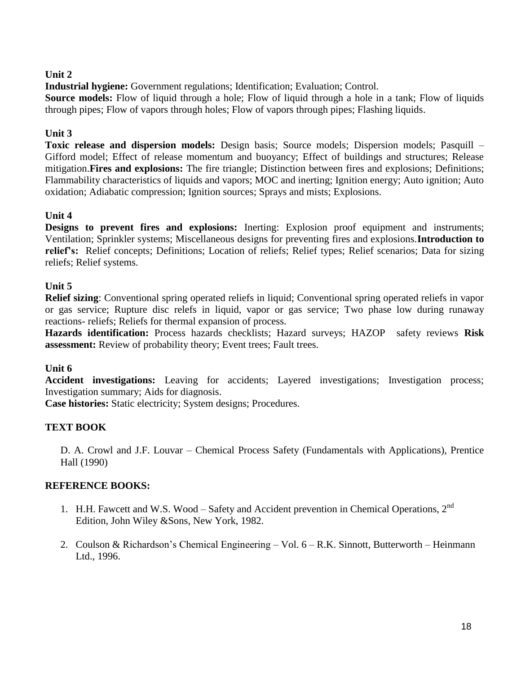## **Unit 2**

**Industrial hygiene:** Government regulations; Identification; Evaluation; Control.

**Source models:** Flow of liquid through a hole; Flow of liquid through a hole in a tank; Flow of liquids through pipes; Flow of vapors through holes; Flow of vapors through pipes; Flashing liquids.

## **Unit 3**

**Toxic release and dispersion models:** Design basis; Source models; Dispersion models; Pasquill – Gifford model; Effect of release momentum and buoyancy; Effect of buildings and structures; Release mitigation.**Fires and explosions:** The fire triangle; Distinction between fires and explosions; Definitions; Flammability characteristics of liquids and vapors; MOC and inerting; Ignition energy; Auto ignition; Auto oxidation; Adiabatic compression; Ignition sources; Sprays and mists; Explosions.

## **Unit 4**

**Designs to prevent fires and explosions:** Inerting: Explosion proof equipment and instruments; Ventilation; Sprinkler systems; Miscellaneous designs for preventing fires and explosions.**Introduction to relief's:** Relief concepts; Definitions; Location of reliefs; Relief types; Relief scenarios; Data for sizing reliefs; Relief systems.

## **Unit 5**

**Relief sizing**: Conventional spring operated reliefs in liquid; Conventional spring operated reliefs in vapor or gas service; Rupture disc relefs in liquid, vapor or gas service; Two phase low during runaway reactions- reliefs; Reliefs for thermal expansion of process.

**Hazards identification:** Process hazards checklists; Hazard surveys; HAZOP safety reviews **Risk assessment:** Review of probability theory; Event trees; Fault trees.

### **Unit 6**

Accident investigations: Leaving for accidents; Layered investigations; Investigation process; Investigation summary; Aids for diagnosis.

**Case histories:** Static electricity; System designs; Procedures.

## **TEXT BOOK**

D. A. Crowl and J.F. Louvar – Chemical Process Safety (Fundamentals with Applications), Prentice Hall (1990)

### **REFERENCE BOOKS:**

- 1. H.H. Fawcett and W.S. Wood Safety and Accident prevention in Chemical Operations, 2<sup>nd</sup> Edition, John Wiley &Sons, New York, 1982.
- 2. Coulson & Richardson's Chemical Engineering Vol. 6 R.K. Sinnott, Butterworth Heinmann Ltd., 1996.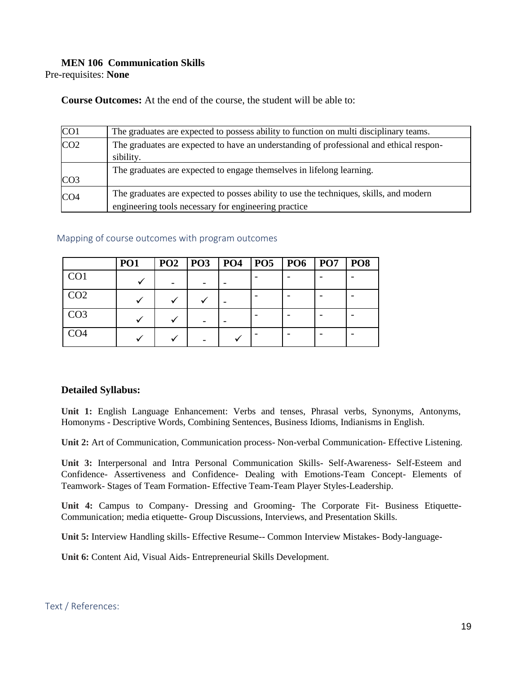#### **MEN 106 Communication Skills**

Pre-requisites: **None**

**Course Outcomes:** At the end of the course, the student will be able to:

| CO <sub>1</sub> | The graduates are expected to possess ability to function on multi disciplinary teams.                                                         |
|-----------------|------------------------------------------------------------------------------------------------------------------------------------------------|
| CO <sub>2</sub> | The graduates are expected to have an understanding of professional and ethical respon-<br>sibility.                                           |
| CO <sub>3</sub> | The graduates are expected to engage themselves in lifelong learning.                                                                          |
| CO <sub>4</sub> | The graduates are expected to posses ability to use the techniques, skills, and modern<br>engineering tools necessary for engineering practice |

#### Mapping of course outcomes with program outcomes

|                 | <b>PO1</b> | PO <sub>2</sub> | PO3 | P <sub>O4</sub>          | POS | <b>PO6</b> | P <sub>07</sub> | PO <sub>8</sub> |
|-----------------|------------|-----------------|-----|--------------------------|-----|------------|-----------------|-----------------|
| CO <sub>1</sub> |            |                 |     | $\overline{\phantom{0}}$ |     |            |                 |                 |
| CO <sub>2</sub> |            |                 |     |                          |     |            |                 |                 |
| CO <sub>3</sub> |            |                 |     | $\overline{\phantom{0}}$ |     |            |                 |                 |
| CO <sub>4</sub> |            |                 |     |                          |     |            |                 |                 |

#### **Detailed Syllabus:**

**Unit 1:** English Language Enhancement: Verbs and tenses, Phrasal verbs, Synonyms, Antonyms, Homonyms - Descriptive Words, Combining Sentences, Business Idioms, Indianisms in English.

**Unit 2:** Art of Communication, Communication process- Non-verbal Communication- Effective Listening.

**Unit 3:** Interpersonal and Intra Personal Communication Skills- Self-Awareness- Self-Esteem and Confidence- Assertiveness and Confidence- Dealing with Emotions-Team Concept- Elements of Teamwork- Stages of Team Formation- Effective Team-Team Player Styles-Leadership.

**Unit 4:** Campus to Company- Dressing and Grooming- The Corporate Fit- Business Etiquette-Communication; media etiquette- Group Discussions, Interviews, and Presentation Skills.

**Unit 5:** Interview Handling skills- Effective Resume-- Common Interview Mistakes- Body-language-

**Unit 6:** Content Aid, Visual Aids- Entrepreneurial Skills Development.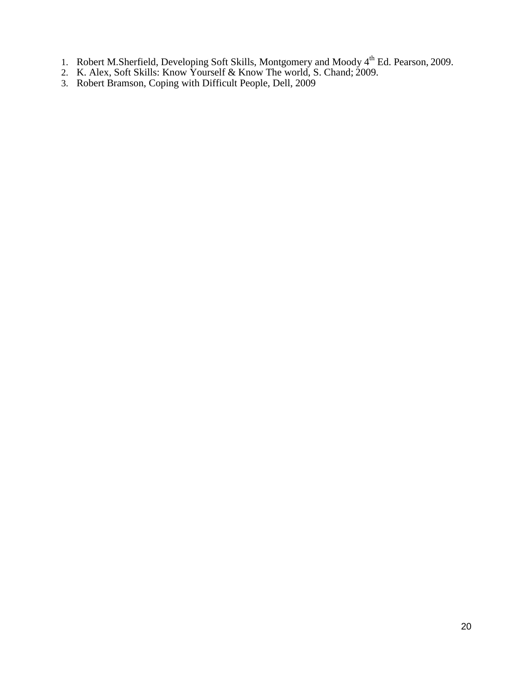- 1. Robert M.Sherfield, Developing Soft Skills, Montgomery and Moody 4<sup>th</sup> Ed. Pearson, 2009.
- 2. K. Alex, Soft Skills: Know Yourself & Know The world, S. Chand; 2009.
- 3. Robert Bramson, Coping with Difficult People, Dell, 2009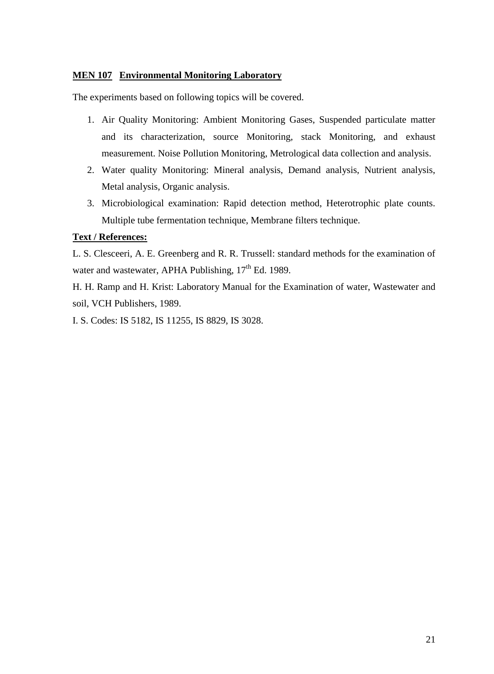#### **MEN 107 Environmental Monitoring Laboratory**

The experiments based on following topics will be covered.

- 1. Air Quality Monitoring: Ambient Monitoring Gases, Suspended particulate matter and its characterization, source Monitoring, stack Monitoring, and exhaust measurement. Noise Pollution Monitoring, Metrological data collection and analysis.
- 2. Water quality Monitoring: Mineral analysis, Demand analysis, Nutrient analysis, Metal analysis, Organic analysis.
- 3. Microbiological examination: Rapid detection method, Heterotrophic plate counts. Multiple tube fermentation technique, Membrane filters technique.

#### **Text / References:**

L. S. Clesceeri, A. E. Greenberg and R. R. Trussell: standard methods for the examination of water and wastewater, APHA Publishing,  $17<sup>th</sup>$  Ed. 1989.

H. H. Ramp and H. Krist: Laboratory Manual for the Examination of water, Wastewater and soil, VCH Publishers, 1989.

I. S. Codes: IS 5182, IS 11255, IS 8829, IS 3028.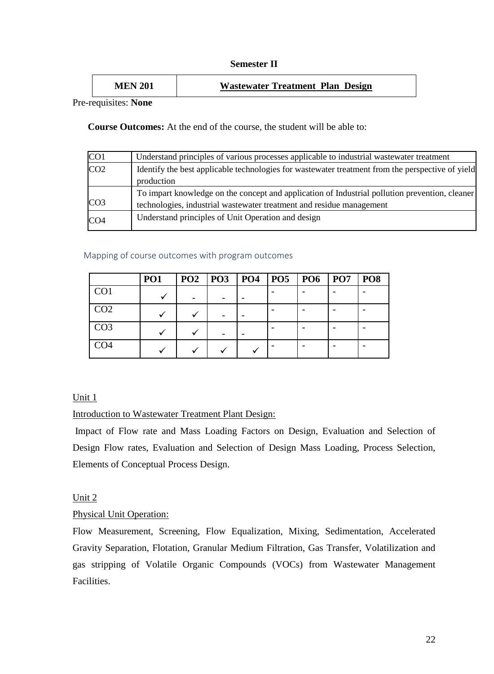#### **Semester II**

| <b>MEN 201</b><br><b>Wastewater Treatment Plan Design</b> |
|-----------------------------------------------------------|
|-----------------------------------------------------------|

Pre-requisites: **None**

**Course Outcomes:** At the end of the course, the student will be able to:

| CO <sub>1</sub> | Understand principles of various processes applicable to industrial was tewater treatment         |
|-----------------|---------------------------------------------------------------------------------------------------|
| CO <sub>2</sub> | Identify the best applicable technologies for was tewater treatment from the perspective of yield |
|                 | production                                                                                        |
|                 | To impart knowledge on the concept and application of Industrial pollution prevention, cleaner    |
| CO <sub>3</sub> | technologies, industrial wastewater treatment and residue management                              |
| CO <sub>4</sub> | Understand principles of Unit Operation and design                                                |

#### Mapping of course outcomes with program outcomes

|                 | <b>PO1</b> | PO2 | P <sub>03</sub> | P <sub>O4</sub> | $PO5$   PO6 | <b>PO7</b> | PO <sub>8</sub> |
|-----------------|------------|-----|-----------------|-----------------|-------------|------------|-----------------|
| CO1             |            |     |                 |                 |             |            |                 |
| CO <sub>2</sub> |            |     |                 |                 |             |            |                 |
| CO <sub>3</sub> |            |     |                 |                 |             |            |                 |
| CO <sub>4</sub> |            |     |                 |                 |             |            |                 |

#### Unit 1

Introduction to Wastewater Treatment Plant Design:

Impact of Flow rate and Mass Loading Factors on Design, Evaluation and Selection of Design Flow rates, Evaluation and Selection of Design Mass Loading, Process Selection, Elements of Conceptual Process Design.

### Unit 2

### Physical Unit Operation:

Flow Measurement, Screening, Flow Equalization, Mixing, Sedimentation, Accelerated Gravity Separation, Flotation, Granular Medium Filtration, Gas Transfer, Volatilization and gas stripping of Volatile Organic Compounds (VOCs) from Wastewater Management Facilities.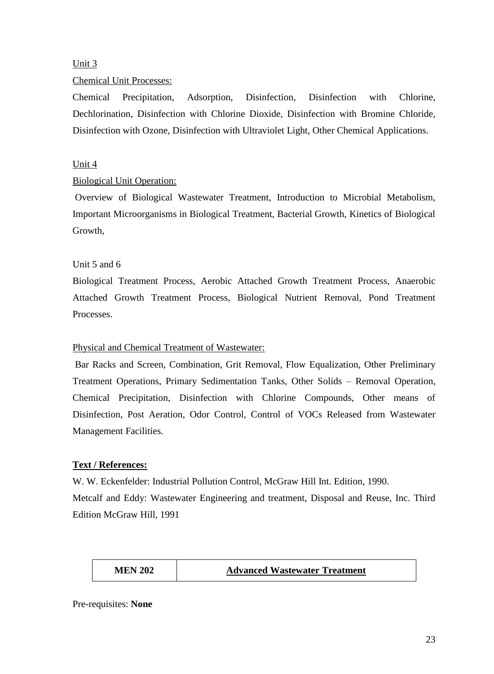### Unit 3

## Chemical Unit Processes:

Chemical Precipitation, Adsorption, Disinfection, Disinfection with Chlorine, Dechlorination, Disinfection with Chlorine Dioxide, Disinfection with Bromine Chloride, Disinfection with Ozone, Disinfection with Ultraviolet Light, Other Chemical Applications.

## Unit 4

## Biological Unit Operation:

Overview of Biological Wastewater Treatment, Introduction to Microbial Metabolism, Important Microorganisms in Biological Treatment, Bacterial Growth, Kinetics of Biological Growth,

## Unit 5 and 6

Biological Treatment Process, Aerobic Attached Growth Treatment Process, Anaerobic Attached Growth Treatment Process, Biological Nutrient Removal, Pond Treatment Processes.

### Physical and Chemical Treatment of Wastewater:

Bar Racks and Screen, Combination, Grit Removal, Flow Equalization, Other Preliminary Treatment Operations, Primary Sedimentation Tanks, Other Solids – Removal Operation, Chemical Precipitation, Disinfection with Chlorine Compounds, Other means of Disinfection, Post Aeration, Odor Control, Control of VOCs Released from Wastewater Management Facilities.

## **Text / References:**

W. W. Eckenfelder: Industrial Pollution Control, McGraw Hill Int. Edition, 1990. Metcalf and Eddy: Wastewater Engineering and treatment, Disposal and Reuse, Inc. Third

Edition McGraw Hill, 1991

| <b>MEN 202</b> | <b>Advanced Wastewater Treatment</b> |
|----------------|--------------------------------------|
|                |                                      |

### Pre-requisites: **None**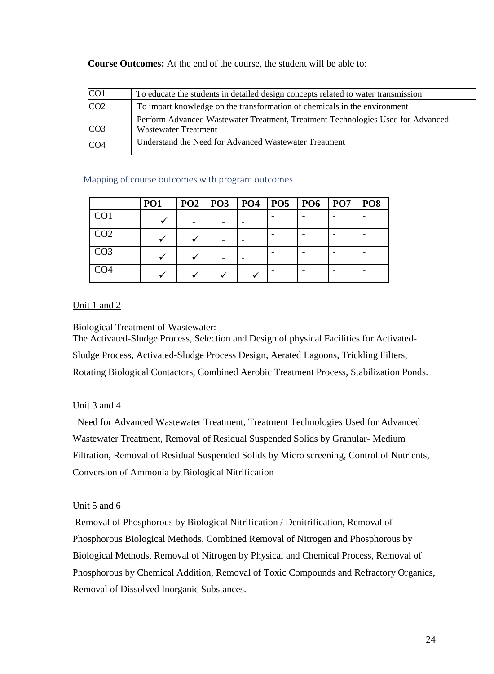**Course Outcomes:** At the end of the course, the student will be able to:

| CO <sub>1</sub> | To educate the students in detailed design concepts related to water transmission                       |
|-----------------|---------------------------------------------------------------------------------------------------------|
| CO <sub>2</sub> | To impart knowledge on the transformation of chemicals in the environment                               |
| CO <sub>3</sub> | Perform Advanced Wastewater Treatment, Treatment Technologies Used for Advanced<br>Wastewater Treatment |
| CO <sub>4</sub> | Understand the Need for Advanced Wastewater Treatment                                                   |

#### Mapping of course outcomes with program outcomes

|                 | <b>PO1</b> | <b>PO2</b> | $PO3$ $PO4$ | PO5 | $PO6$   PO7 | PO <sub>8</sub> |
|-----------------|------------|------------|-------------|-----|-------------|-----------------|
| CO <sub>1</sub> |            |            |             |     |             |                 |
| CO <sub>2</sub> |            |            |             |     |             |                 |
| CO <sub>3</sub> |            |            |             |     |             |                 |
| CO <sub>4</sub> |            |            |             |     |             |                 |

### Unit 1 and 2

### Biological Treatment of Wastewater:

The Activated-Sludge Process, Selection and Design of physical Facilities for Activated-Sludge Process, Activated-Sludge Process Design, Aerated Lagoons, Trickling Filters, Rotating Biological Contactors, Combined Aerobic Treatment Process, Stabilization Ponds.

### Unit 3 and 4

 Need for Advanced Wastewater Treatment, Treatment Technologies Used for Advanced Wastewater Treatment, Removal of Residual Suspended Solids by Granular- Medium Filtration, Removal of Residual Suspended Solids by Micro screening, Control of Nutrients, Conversion of Ammonia by Biological Nitrification

### Unit 5 and 6

Removal of Phosphorous by Biological Nitrification / Denitrification, Removal of Phosphorous Biological Methods, Combined Removal of Nitrogen and Phosphorous by Biological Methods, Removal of Nitrogen by Physical and Chemical Process, Removal of Phosphorous by Chemical Addition, Removal of Toxic Compounds and Refractory Organics, Removal of Dissolved Inorganic Substances.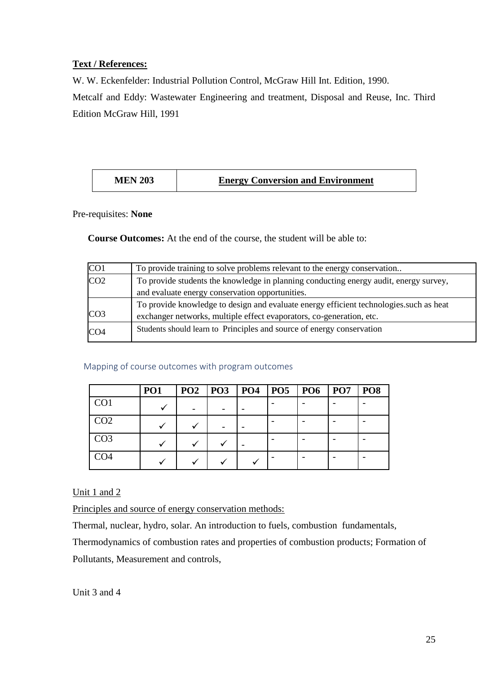## **Text / References:**

W. W. Eckenfelder: Industrial Pollution Control, McGraw Hill Int. Edition, 1990.

Metcalf and Eddy: Wastewater Engineering and treatment, Disposal and Reuse, Inc. Third Edition McGraw Hill, 1991

| <b>MEN 203</b> | <b>Energy Conversion and Environment</b> |
|----------------|------------------------------------------|
|----------------|------------------------------------------|

Pre-requisites: **None**

**Course Outcomes:** At the end of the course, the student will be able to:

| CO <sub>1</sub> | To provide training to solve problems relevant to the energy conservation              |
|-----------------|----------------------------------------------------------------------------------------|
| CO <sub>2</sub> | To provide students the knowledge in planning conducting energy audit, energy survey,  |
|                 | and evaluate energy conservation opportunities.                                        |
|                 | To provide knowledge to design and evaluate energy efficient technologies such as heat |
| CO <sub>3</sub> | exchanger networks, multiple effect evaporators, co-generation, etc.                   |
| CO <sub>4</sub> | Students should learn to Principles and source of energy conservation                  |

#### Mapping of course outcomes with program outcomes

|                 | <b>PO1</b> | PO2 | P <sub>03</sub> | P <sub>O4</sub> | PO5 | <b>PO6</b> | P <sub>07</sub> | PO <sub>8</sub> |
|-----------------|------------|-----|-----------------|-----------------|-----|------------|-----------------|-----------------|
| CO <sub>1</sub> |            |     |                 |                 |     |            |                 |                 |
| CO <sub>2</sub> |            |     |                 |                 |     |            |                 |                 |
| CO <sub>3</sub> |            |     |                 |                 |     |            |                 |                 |
| CO <sub>4</sub> |            |     |                 |                 |     |            |                 |                 |

### Unit 1 and 2

Principles and source of energy conservation methods:

Thermal, nuclear, hydro, solar. An introduction to fuels, combustion fundamentals,

Thermodynamics of combustion rates and properties of combustion products; Formation of Pollutants, Measurement and controls,

Unit 3 and 4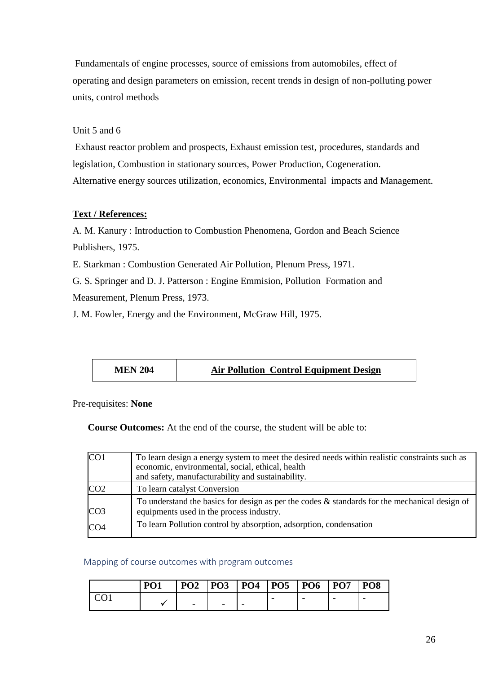Fundamentals of engine processes, source of emissions from automobiles, effect of operating and design parameters on emission, recent trends in design of non-polluting power units, control methods

Unit 5 and 6

Exhaust reactor problem and prospects, Exhaust emission test, procedures, standards and legislation, Combustion in stationary sources, Power Production, Cogeneration. Alternative energy sources utilization, economics, Environmental impacts and Management.

### **Text / References:**

A. M. Kanury : Introduction to Combustion Phenomena, Gordon and Beach Science Publishers, 1975.

E. Starkman : Combustion Generated Air Pollution, Plenum Press, 1971.

G. S. Springer and D. J. Patterson : Engine Emmision, Pollution Formation and Measurement, Plenum Press, 1973.

J. M. Fowler, Energy and the Environment, McGraw Hill, 1975.

| <b>MEN 204</b> | <b>Air Pollution Control Equipment Design</b> |
|----------------|-----------------------------------------------|
|----------------|-----------------------------------------------|

Pre-requisites: **None**

**Course Outcomes:** At the end of the course, the student will be able to:

| CO <sub>1</sub>  | To learn design a energy system to meet the desired needs within realistic constraints such as<br>economic, environmental, social, ethical, health<br>and safety, manufacturability and sustainability. |
|------------------|---------------------------------------------------------------------------------------------------------------------------------------------------------------------------------------------------------|
| CO <sub>2</sub>  | To learn catalyst Conversion                                                                                                                                                                            |
| CO <sub>3</sub>  | To understand the basics for design as per the codes $\&$ standards for the mechanical design of<br>equipments used in the process industry.                                                            |
| ICO <sub>4</sub> | To learn Pollution control by absorption, adsorption, condensation                                                                                                                                      |

#### Mapping of course outcomes with program outcomes

| PO <sub>1</sub> | PO <sub>2</sub>          | PO <sub>3</sub>          | <b>PO4</b>               | PO5 | <b>PO6</b> | PO <sub>7</sub>          | PO <sub>8</sub>          |
|-----------------|--------------------------|--------------------------|--------------------------|-----|------------|--------------------------|--------------------------|
|                 | $\overline{\phantom{a}}$ | $\overline{\phantom{0}}$ | $\overline{\phantom{0}}$ |     | -          | $\overline{\phantom{a}}$ | $\overline{\phantom{0}}$ |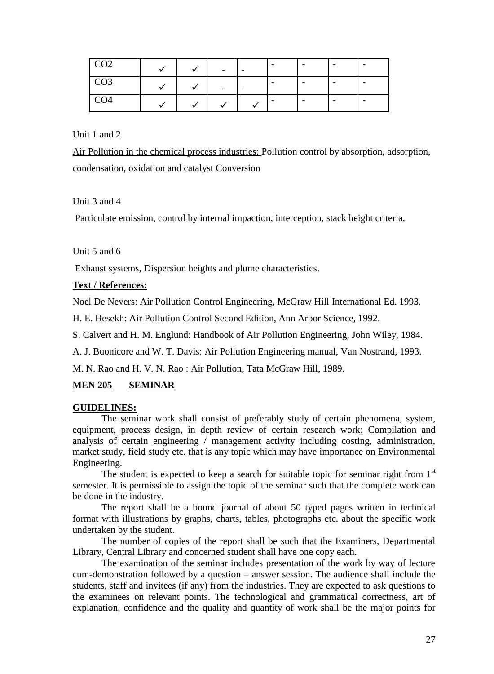| CO <sub>2</sub> |  | $\overline{\phantom{0}}$ | $\overline{\phantom{0}}$ | $\overline{\phantom{0}}$ | - | $\overline{\phantom{0}}$ |
|-----------------|--|--------------------------|--------------------------|--------------------------|---|--------------------------|
| CO <sub>3</sub> |  | $\overline{\phantom{0}}$ | $\overline{\phantom{a}}$ | $\overline{\phantom{a}}$ | - | -                        |
| CO <sub>4</sub> |  |                          |                          | $\overline{\phantom{0}}$ | - | $\overline{\phantom{0}}$ |

Unit 1 and 2

Air Pollution in the chemical process industries: Pollution control by absorption, adsorption, condensation, oxidation and catalyst Conversion

#### Unit 3 and 4

Particulate emission, control by internal impaction, interception, stack height criteria,

Unit 5 and 6

Exhaust systems, Dispersion heights and plume characteristics.

#### **Text / References:**

Noel De Nevers: Air Pollution Control Engineering, McGraw Hill International Ed. 1993.

H. E. Hesekh: Air Pollution Control Second Edition, Ann Arbor Science, 1992.

S. Calvert and H. M. Englund: Handbook of Air Pollution Engineering, John Wiley, 1984.

A. J. Buonicore and W. T. Davis: Air Pollution Engineering manual, Van Nostrand, 1993.

M. N. Rao and H. V. N. Rao : Air Pollution, Tata McGraw Hill, 1989.

#### **MEN 205 SEMINAR**

#### **GUIDELINES:**

The seminar work shall consist of preferably study of certain phenomena, system, equipment, process design, in depth review of certain research work; Compilation and analysis of certain engineering / management activity including costing, administration, market study, field study etc. that is any topic which may have importance on Environmental Engineering.

The student is expected to keep a search for suitable topic for seminar right from  $1<sup>st</sup>$ semester. It is permissible to assign the topic of the seminar such that the complete work can be done in the industry.

The report shall be a bound journal of about 50 typed pages written in technical format with illustrations by graphs, charts, tables, photographs etc. about the specific work undertaken by the student.

The number of copies of the report shall be such that the Examiners, Departmental Library, Central Library and concerned student shall have one copy each.

The examination of the seminar includes presentation of the work by way of lecture cum-demonstration followed by a question – answer session. The audience shall include the students, staff and invitees (if any) from the industries. They are expected to ask questions to the examinees on relevant points. The technological and grammatical correctness, art of explanation, confidence and the quality and quantity of work shall be the major points for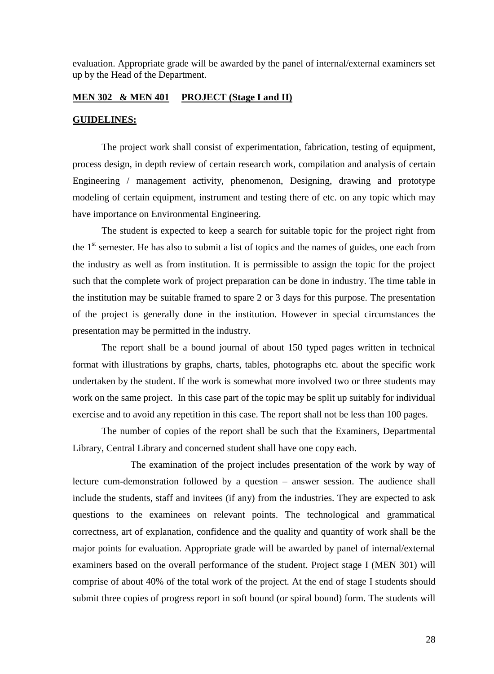evaluation. Appropriate grade will be awarded by the panel of internal/external examiners set up by the Head of the Department.

#### **MEN 302 & MEN 401 PROJECT (Stage I and II)**

#### **GUIDELINES:**

The project work shall consist of experimentation, fabrication, testing of equipment, process design, in depth review of certain research work, compilation and analysis of certain Engineering / management activity, phenomenon, Designing, drawing and prototype modeling of certain equipment, instrument and testing there of etc. on any topic which may have importance on Environmental Engineering.

The student is expected to keep a search for suitable topic for the project right from the  $1<sup>st</sup>$  semester. He has also to submit a list of topics and the names of guides, one each from the industry as well as from institution. It is permissible to assign the topic for the project such that the complete work of project preparation can be done in industry. The time table in the institution may be suitable framed to spare 2 or 3 days for this purpose. The presentation of the project is generally done in the institution. However in special circumstances the presentation may be permitted in the industry.

The report shall be a bound journal of about 150 typed pages written in technical format with illustrations by graphs, charts, tables, photographs etc. about the specific work undertaken by the student. If the work is somewhat more involved two or three students may work on the same project. In this case part of the topic may be split up suitably for individual exercise and to avoid any repetition in this case. The report shall not be less than 100 pages.

The number of copies of the report shall be such that the Examiners, Departmental Library, Central Library and concerned student shall have one copy each.

The examination of the project includes presentation of the work by way of lecture cum-demonstration followed by a question – answer session. The audience shall include the students, staff and invitees (if any) from the industries. They are expected to ask questions to the examinees on relevant points. The technological and grammatical correctness, art of explanation, confidence and the quality and quantity of work shall be the major points for evaluation. Appropriate grade will be awarded by panel of internal/external examiners based on the overall performance of the student. Project stage I (MEN 301) will comprise of about 40% of the total work of the project. At the end of stage I students should submit three copies of progress report in soft bound (or spiral bound) form. The students will